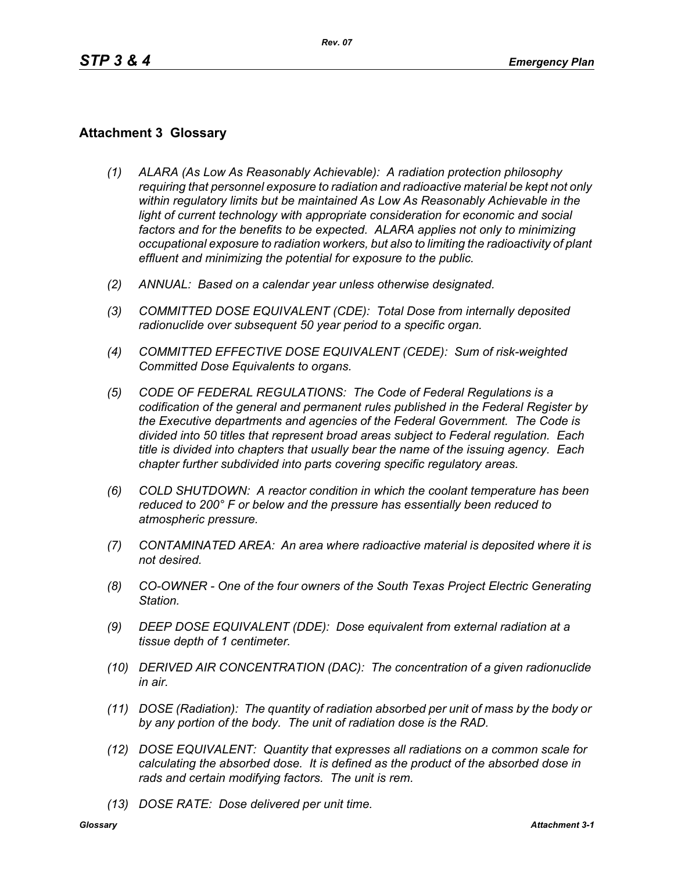## **Attachment 3 Glossary**

- *(1) ALARA (As Low As Reasonably Achievable): A radiation protection philosophy requiring that personnel exposure to radiation and radioactive material be kept not only within regulatory limits but be maintained As Low As Reasonably Achievable in the*  light of current technology with appropriate consideration for economic and social *factors and for the benefits to be expected. ALARA applies not only to minimizing occupational exposure to radiation workers, but also to limiting the radioactivity of plant effluent and minimizing the potential for exposure to the public.*
- *(2) ANNUAL: Based on a calendar year unless otherwise designated.*
- *(3) COMMITTED DOSE EQUIVALENT (CDE): Total Dose from internally deposited radionuclide over subsequent 50 year period to a specific organ.*
- *(4) COMMITTED EFFECTIVE DOSE EQUIVALENT (CEDE): Sum of risk-weighted Committed Dose Equivalents to organs.*
- *(5) CODE OF FEDERAL REGULATIONS: The Code of Federal Regulations is a codification of the general and permanent rules published in the Federal Register by the Executive departments and agencies of the Federal Government. The Code is divided into 50 titles that represent broad areas subject to Federal regulation. Each title is divided into chapters that usually bear the name of the issuing agency. Each chapter further subdivided into parts covering specific regulatory areas.*
- *(6) COLD SHUTDOWN: A reactor condition in which the coolant temperature has been reduced to 200° F or below and the pressure has essentially been reduced to atmospheric pressure.*
- *(7) CONTAMINATED AREA: An area where radioactive material is deposited where it is not desired.*
- *(8) CO-OWNER One of the four owners of the South Texas Project Electric Generating Station.*
- *(9) DEEP DOSE EQUIVALENT (DDE): Dose equivalent from external radiation at a tissue depth of 1 centimeter.*
- *(10) DERIVED AIR CONCENTRATION (DAC): The concentration of a given radionuclide in air.*
- *(11) DOSE (Radiation): The quantity of radiation absorbed per unit of mass by the body or by any portion of the body. The unit of radiation dose is the RAD.*
- *(12) DOSE EQUIVALENT: Quantity that expresses all radiations on a common scale for calculating the absorbed dose. It is defined as the product of the absorbed dose in rads and certain modifying factors. The unit is rem.*
- *(13) DOSE RATE: Dose delivered per unit time.*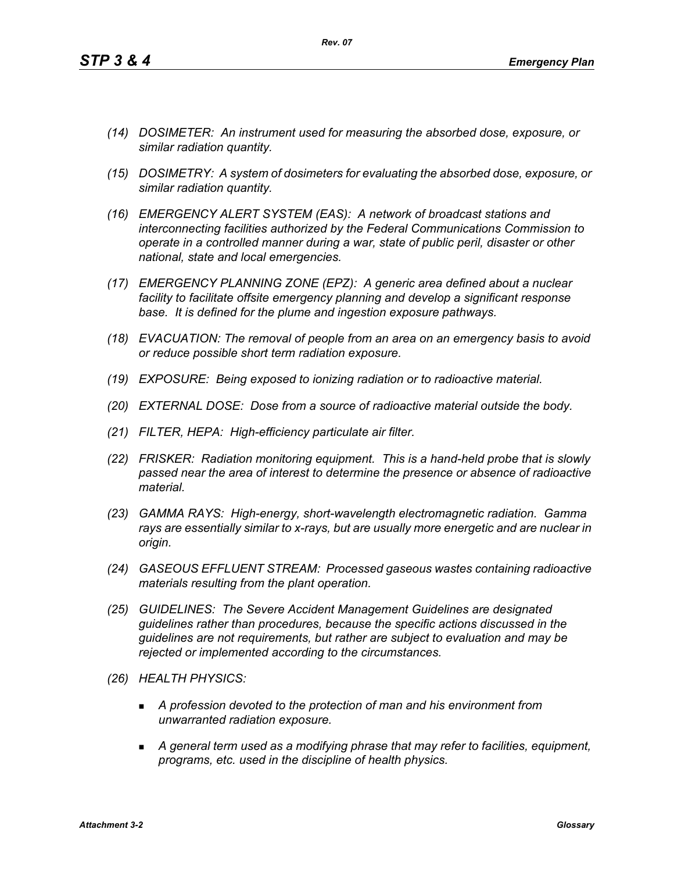*(14) DOSIMETER: An instrument used for measuring the absorbed dose, exposure, or similar radiation quantity.*

*Rev. 07*

- *(15) DOSIMETRY: A system of dosimeters for evaluating the absorbed dose, exposure, or similar radiation quantity.*
- *(16) EMERGENCY ALERT SYSTEM (EAS): A network of broadcast stations and interconnecting facilities authorized by the Federal Communications Commission to operate in a controlled manner during a war, state of public peril, disaster or other national, state and local emergencies.*
- *(17) EMERGENCY PLANNING ZONE (EPZ): A generic area defined about a nuclear facility to facilitate offsite emergency planning and develop a significant response base. It is defined for the plume and ingestion exposure pathways.*
- *(18) EVACUATION: The removal of people from an area on an emergency basis to avoid or reduce possible short term radiation exposure.*
- *(19) EXPOSURE: Being exposed to ionizing radiation or to radioactive material.*
- *(20) EXTERNAL DOSE: Dose from a source of radioactive material outside the body.*
- *(21) FILTER, HEPA: High-efficiency particulate air filter.*
- *(22) FRISKER: Radiation monitoring equipment. This is a hand-held probe that is slowly passed near the area of interest to determine the presence or absence of radioactive material.*
- *(23) GAMMA RAYS: High-energy, short-wavelength electromagnetic radiation. Gamma rays are essentially similar to x-rays, but are usually more energetic and are nuclear in origin.*
- *(24) GASEOUS EFFLUENT STREAM: Processed gaseous wastes containing radioactive materials resulting from the plant operation.*
- *(25) GUIDELINES: The Severe Accident Management Guidelines are designated guidelines rather than procedures, because the specific actions discussed in the guidelines are not requirements, but rather are subject to evaluation and may be rejected or implemented according to the circumstances.*
- *(26) HEALTH PHYSICS:*
	- *A profession devoted to the protection of man and his environment from unwarranted radiation exposure.*
	- *A general term used as a modifying phrase that may refer to facilities, equipment, programs, etc. used in the discipline of health physics.*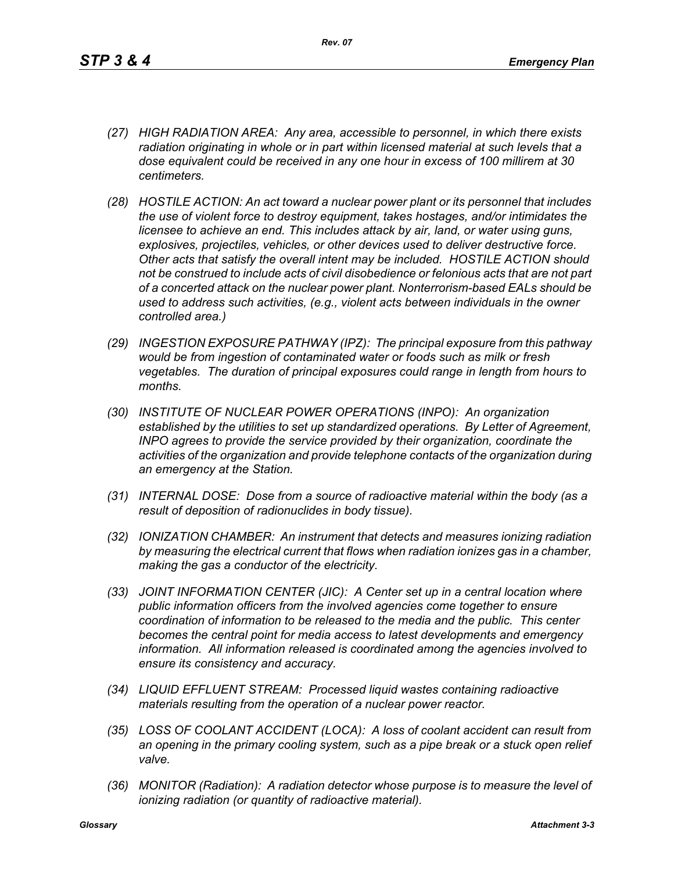- *(27) HIGH RADIATION AREA: Any area, accessible to personnel, in which there exists radiation originating in whole or in part within licensed material at such levels that a dose equivalent could be received in any one hour in excess of 100 millirem at 30 centimeters.*
- *(28) HOSTILE ACTION: An act toward a nuclear power plant or its personnel that includes the use of violent force to destroy equipment, takes hostages, and/or intimidates the licensee to achieve an end. This includes attack by air, land, or water using guns, explosives, projectiles, vehicles, or other devices used to deliver destructive force. Other acts that satisfy the overall intent may be included. HOSTILE ACTION should not be construed to include acts of civil disobedience or felonious acts that are not part of a concerted attack on the nuclear power plant. Nonterrorism-based EALs should be used to address such activities, (e.g., violent acts between individuals in the owner controlled area.)*
- *(29) INGESTION EXPOSURE PATHWAY (IPZ): The principal exposure from this pathway would be from ingestion of contaminated water or foods such as milk or fresh vegetables. The duration of principal exposures could range in length from hours to months.*
- *(30) INSTITUTE OF NUCLEAR POWER OPERATIONS (INPO): An organization established by the utilities to set up standardized operations. By Letter of Agreement, INPO agrees to provide the service provided by their organization, coordinate the activities of the organization and provide telephone contacts of the organization during an emergency at the Station.*
- *(31) INTERNAL DOSE: Dose from a source of radioactive material within the body (as a result of deposition of radionuclides in body tissue).*
- *(32) IONIZATION CHAMBER: An instrument that detects and measures ionizing radiation by measuring the electrical current that flows when radiation ionizes gas in a chamber, making the gas a conductor of the electricity.*
- *(33) JOINT INFORMATION CENTER (JIC): A Center set up in a central location where public information officers from the involved agencies come together to ensure coordination of information to be released to the media and the public. This center becomes the central point for media access to latest developments and emergency information. All information released is coordinated among the agencies involved to ensure its consistency and accuracy.*
- *(34) LIQUID EFFLUENT STREAM: Processed liquid wastes containing radioactive materials resulting from the operation of a nuclear power reactor.*
- *(35) LOSS OF COOLANT ACCIDENT (LOCA): A loss of coolant accident can result from an opening in the primary cooling system, such as a pipe break or a stuck open relief valve.*
- *(36) MONITOR (Radiation): A radiation detector whose purpose is to measure the level of ionizing radiation (or quantity of radioactive material).*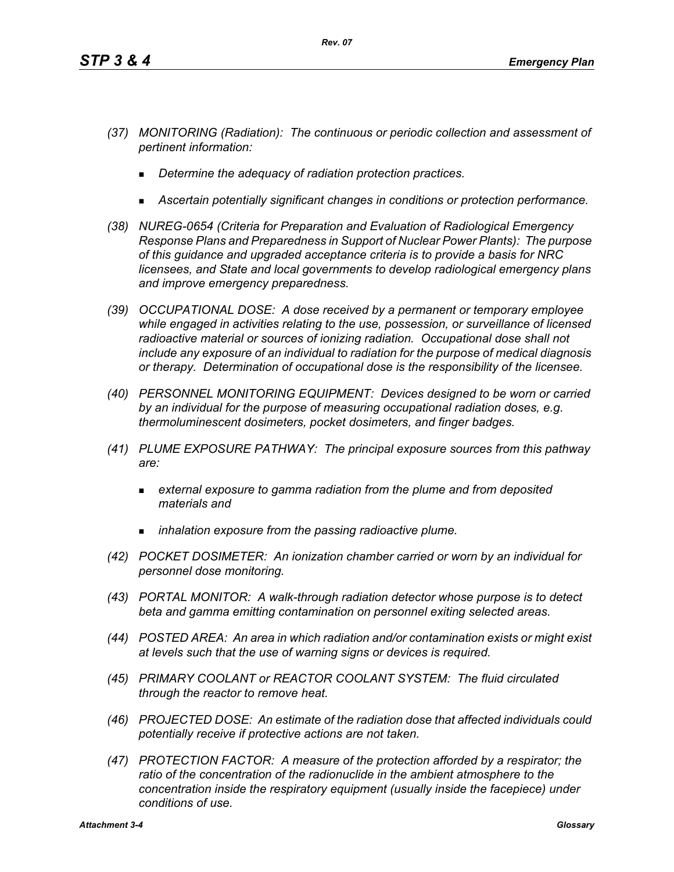- *(37) MONITORING (Radiation): The continuous or periodic collection and assessment of pertinent information:*
	- *Determine the adequacy of radiation protection practices.*
	- *Ascertain potentially significant changes in conditions or protection performance.*
- *(38) NUREG-0654 (Criteria for Preparation and Evaluation of Radiological Emergency Response Plans and Preparedness in Support of Nuclear Power Plants): The purpose of this guidance and upgraded acceptance criteria is to provide a basis for NRC licensees, and State and local governments to develop radiological emergency plans and improve emergency preparedness.*
- *(39) OCCUPATIONAL DOSE: A dose received by a permanent or temporary employee while engaged in activities relating to the use, possession, or surveillance of licensed radioactive material or sources of ionizing radiation. Occupational dose shall not include any exposure of an individual to radiation for the purpose of medical diagnosis or therapy. Determination of occupational dose is the responsibility of the licensee.*
- *(40) PERSONNEL MONITORING EQUIPMENT: Devices designed to be worn or carried by an individual for the purpose of measuring occupational radiation doses, e.g. thermoluminescent dosimeters, pocket dosimeters, and finger badges.*
- *(41) PLUME EXPOSURE PATHWAY: The principal exposure sources from this pathway are:*
	- *external exposure to gamma radiation from the plume and from deposited materials and*
	- *inhalation exposure from the passing radioactive plume.*
- *(42) POCKET DOSIMETER: An ionization chamber carried or worn by an individual for personnel dose monitoring.*
- *(43) PORTAL MONITOR: A walk-through radiation detector whose purpose is to detect beta and gamma emitting contamination on personnel exiting selected areas.*
- *(44) POSTED AREA: An area in which radiation and/or contamination exists or might exist at levels such that the use of warning signs or devices is required.*
- *(45) PRIMARY COOLANT or REACTOR COOLANT SYSTEM: The fluid circulated through the reactor to remove heat.*
- *(46) PROJECTED DOSE: An estimate of the radiation dose that affected individuals could potentially receive if protective actions are not taken.*
- *(47) PROTECTION FACTOR: A measure of the protection afforded by a respirator; the*  ratio of the concentration of the radionuclide in the ambient atmosphere to the *concentration inside the respiratory equipment (usually inside the facepiece) under conditions of use.*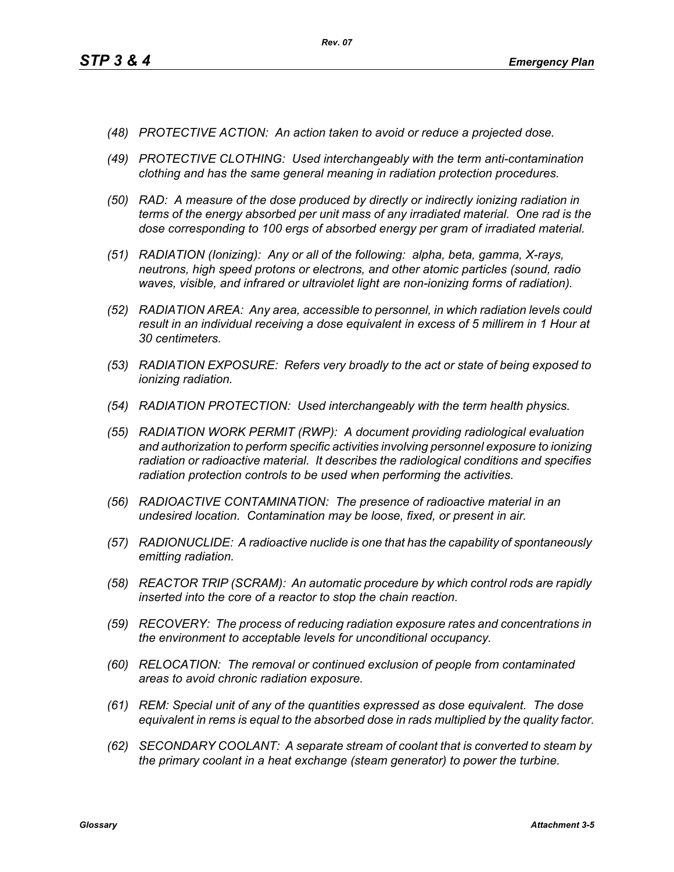- *(48) PROTECTIVE ACTION: An action taken to avoid or reduce a projected dose.*
- *(49) PROTECTIVE CLOTHING: Used interchangeably with the term anti-contamination clothing and has the same general meaning in radiation protection procedures.*
- *(50) RAD: A measure of the dose produced by directly or indirectly ionizing radiation in terms of the energy absorbed per unit mass of any irradiated material. One rad is the dose corresponding to 100 ergs of absorbed energy per gram of irradiated material.*
- *(51) RADIATION (Ionizing): Any or all of the following: alpha, beta, gamma, X-rays, neutrons, high speed protons or electrons, and other atomic particles (sound, radio waves, visible, and infrared or ultraviolet light are non-ionizing forms of radiation).*
- *(52) RADIATION AREA: Any area, accessible to personnel, in which radiation levels could result in an individual receiving a dose equivalent in excess of 5 millirem in 1 Hour at 30 centimeters.*
- *(53) RADIATION EXPOSURE: Refers very broadly to the act or state of being exposed to ionizing radiation.*
- *(54) RADIATION PROTECTION: Used interchangeably with the term health physics.*
- *(55) RADIATION WORK PERMIT (RWP): A document providing radiological evaluation and authorization to perform specific activities involving personnel exposure to ionizing radiation or radioactive material. It describes the radiological conditions and specifies radiation protection controls to be used when performing the activities.*
- *(56) RADIOACTIVE CONTAMINATION: The presence of radioactive material in an undesired location. Contamination may be loose, fixed, or present in air.*
- *(57) RADIONUCLIDE: A radioactive nuclide is one that has the capability of spontaneously emitting radiation.*
- *(58) REACTOR TRIP (SCRAM): An automatic procedure by which control rods are rapidly inserted into the core of a reactor to stop the chain reaction.*
- *(59) RECOVERY: The process of reducing radiation exposure rates and concentrations in the environment to acceptable levels for unconditional occupancy.*
- *(60) RELOCATION: The removal or continued exclusion of people from contaminated areas to avoid chronic radiation exposure.*
- *(61) REM: Special unit of any of the quantities expressed as dose equivalent. The dose equivalent in rems is equal to the absorbed dose in rads multiplied by the quality factor.*
- *(62) SECONDARY COOLANT: A separate stream of coolant that is converted to steam by the primary coolant in a heat exchange (steam generator) to power the turbine.*